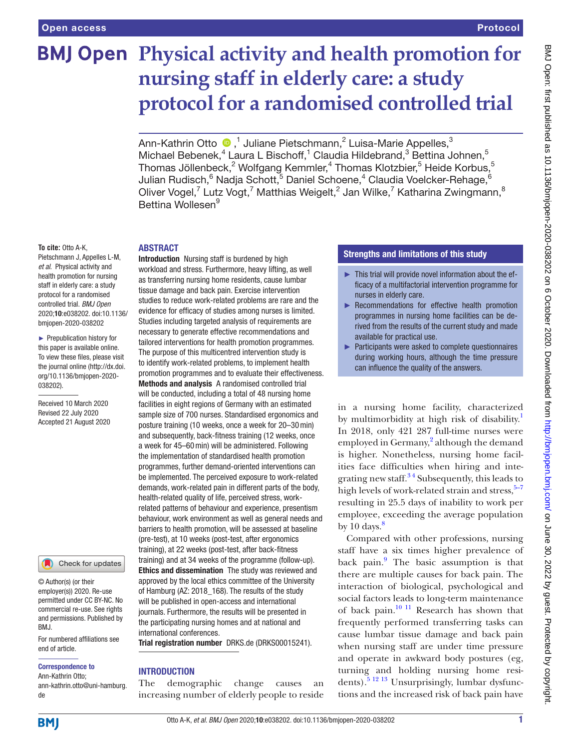# **BMJ Open Physical activity and health promotion for nursing staff in elderly care: a study protocol for a randomised controlled trial**

Ann-KathrinOtto  $\bigcirc$  ,<sup>1</sup> Juliane Pietschmann,<sup>2</sup> Luisa-Marie Appelles,<sup>3</sup> Michael Bebenek,<sup>4</sup> Laura L Bischoff,<sup>1</sup> Claudia Hildebrand,<sup>3</sup> Bettina Johnen,<sup>5</sup> Thomas Jöllenbeck, $^2$  Wolfgang Kemmler, $^4$  Thomas Klotzbier, $^5$  Heide Korbus, $^5$ Julian Rudisch, <sup>6</sup> Nadja Schott, 5 Daniel Schoene, <sup>4</sup> Claudia Voelcker-Rehage, <sup>6</sup> Oliver Vogel,<sup>7</sup> Lutz Vogt,<sup>7</sup> Matthias Weigelt,<sup>2</sup> Jan Wilke,<sup>7</sup> Katharina Zwingmann,<sup>8</sup> Bettina Wollesen<sup>9</sup>

#### **To cite:** Otto A-K,

Pietschmann J, Appelles L-M, *et al*. Physical activity and health promotion for nursing staff in elderly care: a study protocol for a randomised controlled trial. *BMJ Open* 2020;10:e038202. doi:10.1136/ bmjopen-2020-038202

► Prepublication history for this paper is available online. To view these files, please visit the journal online (http://dx.doi. org/10.1136/bmjopen-2020- 038202).

Received 10 March 2020 Revised 22 July 2020 Accepted 21 August 2020

Check for updates

© Author(s) (or their employer(s)) 2020. Re-use permitted under CC BY-NC. No commercial re-use. See rights and permissions. Published by BMJ.

For numbered affiliations see end of article.

#### Correspondence to

Ann-Kathrin Otto; ann-kathrin.otto@uni-hamburg. de

# ABSTRACT

**Introduction** Nursing staff is burdened by high workload and stress. Furthermore, heavy lifting, as well as transferring nursing home residents, cause lumbar tissue damage and back pain. Exercise intervention studies to reduce work-related problems are rare and the evidence for efficacy of studies among nurses is limited. Studies including targeted analysis of requirements are necessary to generate effective recommendations and tailored interventions for health promotion programmes. The purpose of this multicentred intervention study is to identify work-related problems, to implement health promotion programmes and to evaluate their effectiveness. Methods and analysis A randomised controlled trial will be conducted, including a total of 48 nursing home facilities in eight regions of Germany with an estimated sample size of 700 nurses. Standardised ergonomics and posture training (10 weeks, once a week for 20–30min) and subsequently, back-fitness training (12 weeks, once a week for 45–60min) will be administered. Following the implementation of standardised health promotion programmes, further demand-oriented interventions can be implemented. The perceived exposure to work-related demands, work-related pain in different parts of the body, health-related quality of life, perceived stress, workrelated patterns of behaviour and experience, presentism behaviour, work environment as well as general needs and barriers to health promotion, will be assessed at baseline (pre-test), at 10 weeks (post-test, after ergonomics training), at 22 weeks (post-test, after back-fitness training) and at 34 weeks of the programme (follow-up). Ethics and dissemination The study was reviewed and approved by the local ethics committee of the University of Hamburg (AZ: 2018\_168). The results of the study will be published in open-access and international journals. Furthermore, the results will be presented in the participating nursing homes and at national and international conferences.

Trial registration number DRKS.de (DRKS00015241).

# INTRODUCTION

The demographic change causes an increasing number of elderly people to reside

# Strengths and limitations of this study

- ► This trial will provide novel information about the efficacy of a multifactorial intervention programme for nurses in elderly care.
- ► Recommendations for effective health promotion programmes in nursing home facilities can be derived from the results of the current study and made available for practical use.
- ► Participants were asked to complete questionnaires during working hours, although the time pressure can influence the quality of the answers.

in a nursing home facility, characterized by multimorbidity at high risk of disability.<sup>[1](#page-7-0)</sup> In 2018, only 421 287 full-time nurses were employed in Germany,<sup>[2](#page-7-1)</sup> although the demand is higher. Nonetheless, nursing home facilities face difficulties when hiring and integrating new staff. $34$  Subsequently, this leads to high levels of work-related strain and stress, $5-7$ resulting in 25.5 days of inability to work per employee, exceeding the average population by 10 days. $\frac{8}{3}$  $\frac{8}{3}$  $\frac{8}{3}$ 

Compared with other professions, nursing staff have a six times higher prevalence of back pain.<sup>[9](#page-7-5)</sup> The basic assumption is that there are multiple causes for back pain. The interaction of biological, psychological and social factors leads to long-term maintenance of back pain. $10^{-11}$  Research has shown that frequently performed transferring tasks can cause lumbar tissue damage and back pain when nursing staff are under time pressure and operate in awkward body postures (eg, turning and holding nursing home residents). $5^{12}$  13 Unsurprisingly, lumbar dysfunctions and the increased risk of back pain have

**BMI**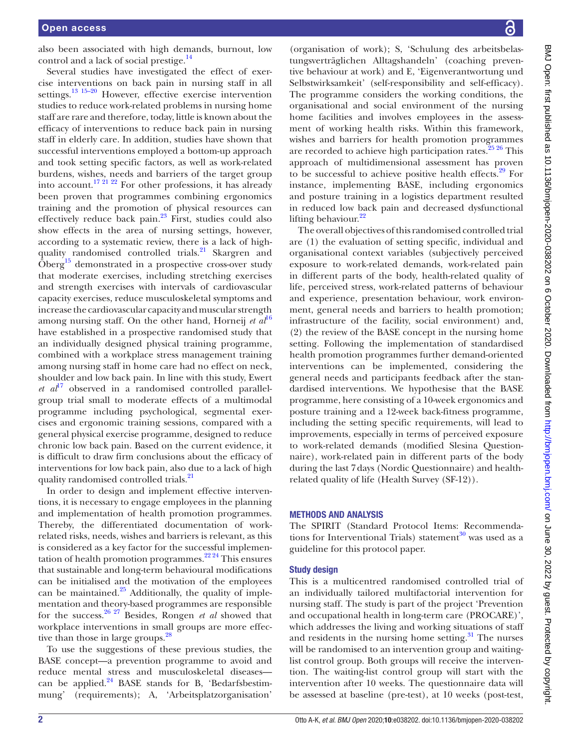also been associated with high demands, burnout, low control and a lack of social prestige.<sup>[14](#page-7-7)</sup>

Several studies have investigated the effect of exercise interventions on back pain in nursing staff in all settings.<sup>13 15–20</sup> However, effective exercise intervention studies to reduce work-related problems in nursing home staff are rare and therefore, today, little is known about the efficacy of interventions to reduce back pain in nursing staff in elderly care. In addition, studies have shown that successful interventions employed a bottom-up approach and took setting specific factors, as well as work-related burdens, wishes, needs and barriers of the target group into account.<sup>[17 21 22](#page-8-0)</sup> For other professions, it has already been proven that programmes combining ergonomics training and the promotion of physical resources can effectively reduce back pain[.23](#page-8-1) First, studies could also show effects in the area of nursing settings, however, according to a systematic review, there is a lack of highquality randomised controlled trials.<sup>21</sup> Skargren and  $\ddot{\text{O}}$ berg<sup>15</sup> demonstrated in a prospective cross-over study that moderate exercises, including stretching exercises and strength exercises with intervals of cardiovascular capacity exercises, reduce musculoskeletal symptoms and increase the cardiovascular capacity and muscular strength among nursing staff. On the other hand, Horneij *et al*<sup>[16](#page-7-10)</sup> have established in a prospective randomised study that an individually designed physical training programme, combined with a workplace stress management training among nursing staff in home care had no effect on neck, shoulder and low back pain. In line with this study, Ewert  $et \text{ } a l^{17}$  $et \text{ } a l^{17}$  $et \text{ } a l^{17}$  observed in a randomised controlled parallelgroup trial small to moderate effects of a multimodal programme including psychological, segmental exercises and ergonomic training sessions, compared with a general physical exercise programme, designed to reduce chronic low back pain. Based on the current evidence, it is difficult to draw firm conclusions about the efficacy of interventions for low back pain, also due to a lack of high quality randomised controlled trials.<sup>[21](#page-8-2)</sup>

In order to design and implement effective interventions, it is necessary to engage employees in the planning and implementation of health promotion programmes. Thereby, the differentiated documentation of workrelated risks, needs, wishes and barriers is relevant, as this is considered as a key factor for the successful implementation of health promotion programmes.<sup>22,24</sup> This ensures that sustainable and long-term behavioural modifications can be initialised and the motivation of the employees can be maintained. $25$  Additionally, the quality of implementation and theory-based programmes are responsible for the success.[26 27](#page-8-5) Besides, Rongen *et al* showed that workplace interventions in small groups are more effec-tive than those in large groups.<sup>[28](#page-8-6)</sup>

To use the suggestions of these previous studies, the BASE concept—a prevention programme to avoid and reduce mental stress and musculoskeletal diseases can be applied. $^{24}$  BASE stands for B, 'Bedarfsbestimmung' (requirements); A, 'Arbeitsplatzorganisation'

(organisation of work); S, 'Schulung des arbeitsbelastungsverträglichen Alltagshandeln' (coaching preventive behaviour at work) and E, 'Eigenverantwortung und Selbstwirksamkeit' (self-responsibility and self-efficacy). The programme considers the working conditions, the organisational and social environment of the nursing home facilities and involves employees in the assessment of working health risks. Within this framework, wishes and barriers for health promotion programmes are recorded to achieve high participation rates. $25\frac{25\frac{26}{10}}{27}$  This approach of multidimensional assessment has proven to be successful to achieve positive health effects.<sup>29</sup> For instance, implementing BASE, including ergonomics and posture training in a logistics department resulted in reduced low back pain and decreased dysfunctional lifting behaviour. $^{22}$  $^{22}$  $^{22}$ 

The overall objectives of this randomised controlled trial are (1) the evaluation of setting specific, individual and organisational context variables (subjectively perceived exposure to work-related demands, work-related pain in different parts of the body, health-related quality of life, perceived stress, work-related patterns of behaviour and experience, presentation behaviour, work environment, general needs and barriers to health promotion; infrastructure of the facility, social environment) and, (2) the review of the BASE concept in the nursing home setting. Following the implementation of standardised health promotion programmes further demand-oriented interventions can be implemented, considering the general needs and participants feedback after the standardised interventions. We hypothesise that the BASE programme, here consisting of a 10-week ergonomics and posture training and a 12-week back-fitness programme, including the setting specific requirements, will lead to improvements, especially in terms of perceived exposure to work-related demands (modified Slesina Questionnaire), work-related pain in different parts of the body during the last 7days (Nordic Questionnaire) and healthrelated quality of life (Health Survey (SF-12)).

# METHODS AND ANALYSIS

The SPIRIT (Standard Protocol Items: Recommendations for Interventional Trials) statement $30$  was used as a guideline for this protocol paper.

## Study design

This is a multicentred randomised controlled trial of an individually tailored multifactorial intervention for nursing staff. The study is part of the project 'Prevention and occupational health in long-term care (PROCARE)', which addresses the living and working situations of staff and residents in the nursing home setting. $31$  The nurses will be randomised to an intervention group and waitinglist control group. Both groups will receive the intervention. The waiting-list control group will start with the intervention after 10 weeks. The questionnaire data will be assessed at baseline (pre-test), at 10 weeks (post-test,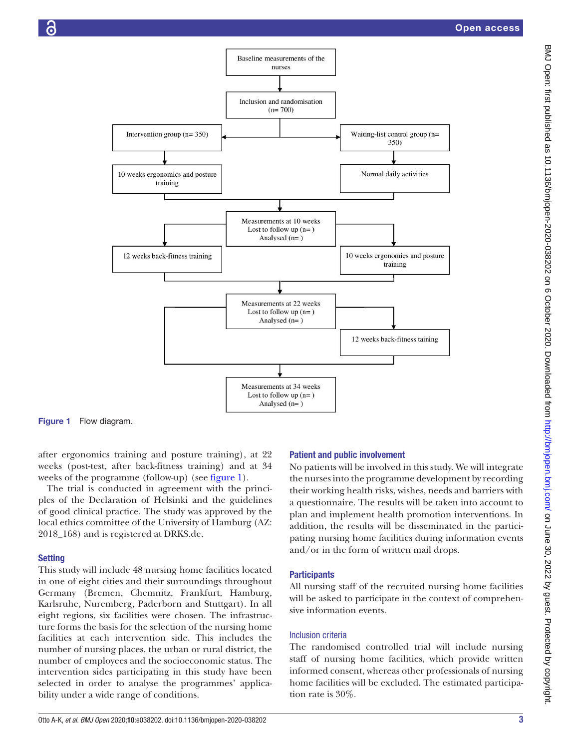

Figure 1 Flow diagram.

after ergonomics training and posture training), at 22 weeks (post-test, after back-fitness training) and at 34 weeks of the programme (follow-up) (see [figure](#page-2-0) 1).

The trial is conducted in agreement with the principles of the Declaration of Helsinki and the guidelines of good clinical practice. The study was approved by the local ethics committee of the University of Hamburg (AZ: 2018\_168) and is registered at DRKS.de.

### **Setting**

This study will include 48 nursing home facilities located in one of eight cities and their surroundings throughout Germany (Bremen, Chemnitz, Frankfurt, Hamburg, Karlsruhe, Nuremberg, Paderborn and Stuttgart). In all eight regions, six facilities were chosen. The infrastructure forms the basis for the selection of the nursing home facilities at each intervention side. This includes the number of nursing places, the urban or rural district, the number of employees and the socioeconomic status. The intervention sides participating in this study have been selected in order to analyse the programmes' applicability under a wide range of conditions.

#### <span id="page-2-0"></span>Patient and public involvement

No patients will be involved in this study. We will integrate the nurses into the programme development by recording their working health risks, wishes, needs and barriers with a questionnaire. The results will be taken into account to plan and implement health promotion interventions. In addition, the results will be disseminated in the participating nursing home facilities during information events and/or in the form of written mail drops.

#### **Participants**

All nursing staff of the recruited nursing home facilities will be asked to participate in the context of comprehensive information events.

### Inclusion criteria

The randomised controlled trial will include nursing staff of nursing home facilities, which provide written informed consent, whereas other professionals of nursing home facilities will be excluded. The estimated participation rate is 30%.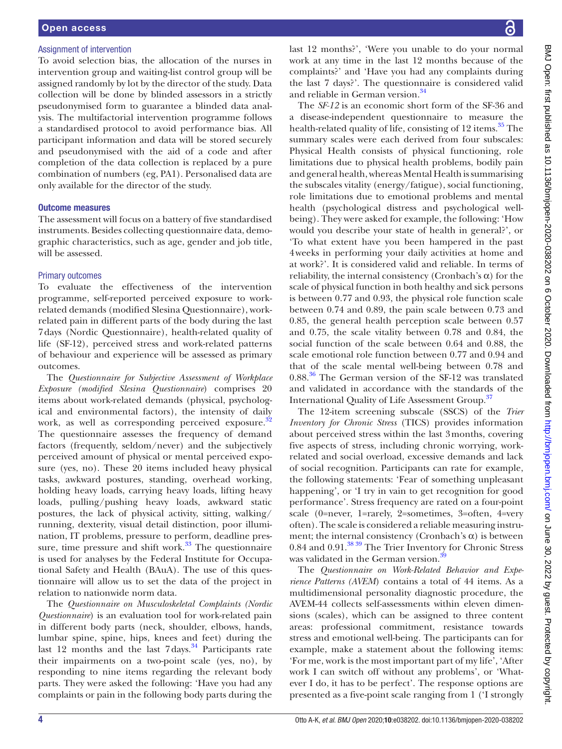### Assignment of intervention

To avoid selection bias, the allocation of the nurses in intervention group and waiting-list control group will be assigned randomly by lot by the director of the study. Data collection will be done by blinded assessors in a strictly pseudonymised form to guarantee a blinded data analysis. The multifactorial intervention programme follows a standardised protocol to avoid performance bias. All participant information and data will be stored securely and pseudonymised with the aid of a code and after completion of the data collection is replaced by a pure combination of numbers (eg, PA1). Personalised data are only available for the director of the study.

#### Outcome measures

The assessment will focus on a battery of five standardised instruments. Besides collecting questionnaire data, demographic characteristics, such as age, gender and job title, will be assessed.

## Primary outcomes

To evaluate the effectiveness of the intervention programme, self-reported perceived exposure to workrelated demands (modified Slesina Questionnaire), workrelated pain in different parts of the body during the last 7days (Nordic Questionnaire), health-related quality of life (SF-12), perceived stress and work-related patterns of behaviour and experience will be assessed as primary outcomes.

The *Questionnaire for Subjective Assessment of Workplace Exposure (modified Slesina Questionnaire*) comprises 20 items about work-related demands (physical, psychological and environmental factors), the intensity of daily work, as well as corresponding perceived exposure.<sup>32</sup> The questionnaire assesses the frequency of demand factors (frequently, seldom/never) and the subjectively perceived amount of physical or mental perceived exposure (yes, no). These 20 items included heavy physical tasks, awkward postures, standing, overhead working, holding heavy loads, carrying heavy loads, lifting heavy loads, pulling/pushing heavy loads, awkward static postures, the lack of physical activity, sitting, walking/ running, dexterity, visual detail distinction, poor illumination, IT problems, pressure to perform, deadline pressure, time pressure and shift work. $33$  The questionnaire is used for analyses by the Federal Institute for Occupational Safety and Health (BAuA). The use of this questionnaire will allow us to set the data of the project in relation to nationwide norm data.

The *Questionnaire on Musculoskeletal Complaints (Nordic Questionnaire*) is an evaluation tool for work-related pain in different body parts (neck, shoulder, elbows, hands, lumbar spine, spine, hips, knees and feet) during the last 12 months and the last 7days.<sup>[34](#page-8-13)</sup> Participants rate their impairments on a two-point scale (yes, no), by responding to nine items regarding the relevant body parts. They were asked the following: 'Have you had any complaints or pain in the following body parts during the

last 12 months?', 'Were you unable to do your normal work at any time in the last 12 months because of the complaints?' and 'Have you had any complaints during the last 7 days?'. The questionnaire is considered valid and reliable in German version.<sup>34</sup>

The *SF-12* is an economic short form of the SF-36 and a disease-independent questionnaire to measure the health-related quality of life, consisting of 12 items.<sup>35</sup> The summary scales were each derived from four subscales: Physical Health consists of physical functioning, role limitations due to physical health problems, bodily pain and general health, whereas Mental Health is summarising the subscales vitality (energy/fatigue), social functioning, role limitations due to emotional problems and mental health (psychological distress and psychological wellbeing). They were asked for example, the following: 'How would you describe your state of health in general?', or 'To what extent have you been hampered in the past 4weeks in performing your daily activities at home and at work?'. It is considered valid and reliable. In terms of reliability, the internal consistency (Cronbach's  $\alpha$ ) for the scale of physical function in both healthy and sick persons is between 0.77 and 0.93, the physical role function scale between 0.74 and 0.89, the pain scale between 0.73 and 0.85, the general health perception scale between 0.57 and 0.75, the scale vitality between 0.78 and 0.84, the social function of the scale between 0.64 and 0.88, the scale emotional role function between 0.77 and 0.94 and that of the scale mental well-being between 0.78 and  $0.88<sup>36</sup>$  The German version of the SF-12 was translated and validated in accordance with the standards of the International Quality of Life Assessment Group.<sup>37</sup>

The 12-item screening subscale (SSCS) of the *Trier Inventory for Chronic Stress* (TICS) provides information about perceived stress within the last 3months, covering five aspects of stress, including chronic worrying, workrelated and social overload, excessive demands and lack of social recognition. Participants can rate for example, the following statements: 'Fear of something unpleasant happening', or 'I try in vain to get recognition for good performance'. Stress frequency are rated on a four-point scale (0=never, 1=rarely, 2=sometimes, 3=often, 4=very often). The scale is considered a reliable measuring instrument; the internal consistency (Cronbach's  $\alpha$ ) is between 0.84 and 0.91.<sup>38 39</sup> The Trier Inventory for Chronic Stress was validated in the German version.<sup>3</sup>

The *Questionnaire on Work-Related Behavior and Experience Patterns (AVEM*) contains a total of 44 items. As a multidimensional personality diagnostic procedure, the AVEM-44 collects self-assessments within eleven dimensions (scales), which can be assigned to three content areas: professional commitment, resistance towards stress and emotional well-being. The participants can for example, make a statement about the following items: 'For me, work is the most important part of my life', 'After work I can switch off without any problems', or 'Whatever I do, it has to be perfect'. The response options are presented as a five-point scale ranging from 1 ('I strongly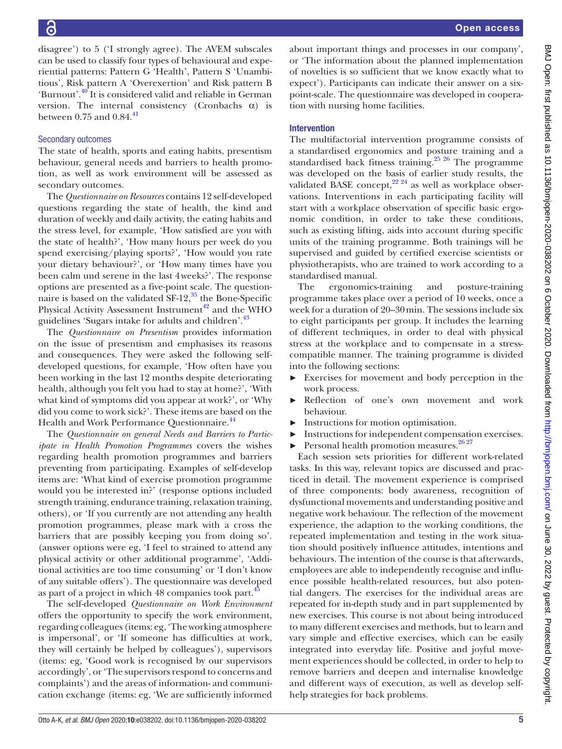disagree') to 5 ('I strongly agree). The AVEM subscales can be used to classify four types of behavioural and experiential patterns: Pattern G 'Health', Pattern S 'Unambitious', Risk pattern A 'Overexertion' and Risk pattern B 'Burnout'.[40](#page-8-19) It is considered valid and reliable in German version. The internal consistency (Cronbachs  $\alpha$ ) is between  $0.75$  and  $0.84.<sup>41</sup>$ 

# Secondary outcomes

The state of health, sports and eating habits, presentism behaviour, general needs and barriers to health promotion, as well as work environment will be assessed as secondary outcomes.

The *Questionnaire on Resources* contains 12 self-developed questions regarding the state of health, the kind and duration of weekly and daily activity, the eating habits and the stress level, for example, 'How satisfied are you with the state of health?', 'How many hours per week do you spend exercising/playing sports?', 'How would you rate your dietary behaviour?', or 'How many times have you been calm und serene in the last 4weeks?'. The response options are presented as a five-point scale. The questionnaire is based on the validated  $SF-12$ ,  $35$  the Bone-Specific Physical Activity Assessment Instrument<sup>42</sup> and the WHO guidelines 'Sugars intake for adults and children'.<sup>43</sup>

The *Questionnaire on Presentism* provides information on the issue of presentism and emphasises its reasons and consequences. They were asked the following selfdeveloped questions, for example, 'How often have you been working in the last 12 months despite deteriorating health, although you felt you had to stay at home?', 'With what kind of symptoms did you appear at work?', or 'Why did you come to work sick?'. These items are based on the Health and Work Performance Questionnaire.<sup>[44](#page-8-23)</sup>

The *Questionnaire on general Needs and Barriers to Participate in Health Promotion Programmes* covers the wishes regarding health promotion programmes and barriers preventing from participating. Examples of self-develop items are: 'What kind of exercise promotion programme would you be interested in?' (response options included strength training, endurance training, relaxation training, others), or 'If you currently are not attending any health promotion programmes, please mark with a cross the barriers that are possibly keeping you from doing so'. (answer options were eg, 'I feel to strained to attend any physical activity or other additional programme', 'Additional activities are too time consuming' or 'I don't know of any suitable offers'). The questionnaire was developed as part of a project in which  $48$  companies took part.<sup>[45](#page-8-24)</sup>

The self-developed *Questionnaire on Work Environment* offers the opportunity to specify the work environment, regarding colleagues (items: eg, 'The working atmosphere is impersonal', or 'If someone has difficulties at work, they will certainly be helped by colleagues'), supervisors (items: eg, 'Good work is recognised by our supervisors accordingly', or 'The supervisors respond to concerns and complaints') and the areas of information- and communication exchange (items: eg, 'We are sufficiently informed

about important things and processes in our company', or 'The information about the planned implementation of novelties is so sufficient that we know exactly what to expect'). Participants can indicate their answer on a sixpoint-scale. The questionnaire was developed in cooperation with nursing home facilities.

# Intervention

The multifactorial intervention programme consists of a standardised ergonomics and posture training and a standardised back fitness training.<sup>25 26</sup> The programme was developed on the basis of earlier study results, the validated BASE concept, $22 \frac{24}{4}$  as well as workplace observations. Interventions in each participating facility will start with a workplace observation of specific basic ergonomic condition, in order to take these conditions, such as existing lifting, aids into account during specific units of the training programme. Both trainings will be supervised and guided by certified exercise scientists or physiotherapists, who are trained to work according to a standardised manual.

The ergonomics-training and posture-training programme takes place over a period of 10 weeks, once a week for a duration of 20–30min. The sessions include six to eight participants per group. It includes the learning of different techniques, in order to deal with physical stress at the workplace and to compensate in a stresscompatible manner. The training programme is divided into the following sections:

- Exercises for movement and body perception in the work process.
- ► Reflection of one's own movement and work behaviour.
- ► Instructions for motion optimisation.
- ► Instructions for independent compensation exercises.
- $\blacktriangleright$  Personal health promotion measures.<sup>[26 27](#page-8-5)</sup>

Each session sets priorities for different work-related tasks. In this way, relevant topics are discussed and practiced in detail. The movement experience is comprised of three components: body awareness, recognition of dysfunctional movements and understanding positive and negative work behaviour. The reflection of the movement experience, the adaption to the working conditions, the repeated implementation and testing in the work situation should positively influence attitudes, intentions and behaviours. The intention of the course is that afterwards, employees are able to independently recognise and influence possible health-related resources, but also potential dangers. The exercises for the individual areas are repeated for in-depth study and in part supplemented by new exercises. This course is not about being introduced to many different exercises and methods, but to learn and vary simple and effective exercises, which can be easily integrated into everyday life. Positive and joyful movement experiences should be collected, in order to help to remove barriers and deepen and internalise knowledge and different ways of execution, as well as develop selfhelp strategies for back problems.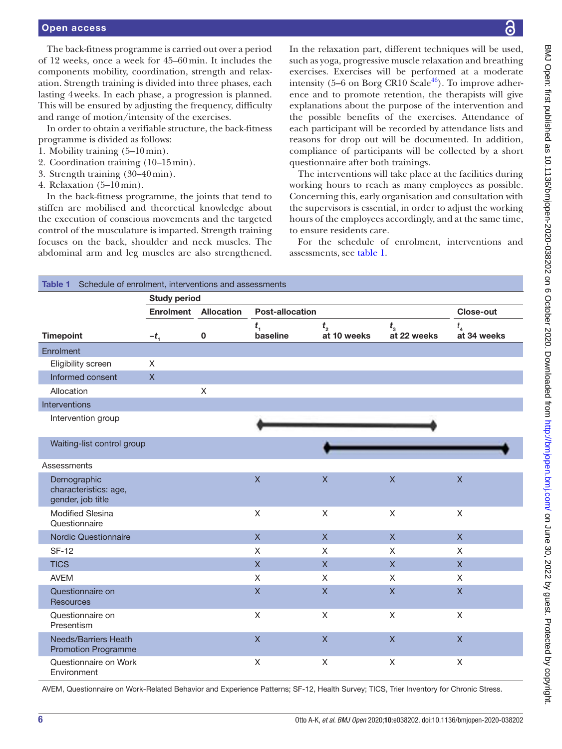# Open access

The back-fitness programme is carried out over a period of 12 weeks, once a week for 45–60min. It includes the components mobility, coordination, strength and relaxation. Strength training is divided into three phases, each lasting 4weeks. In each phase, a progression is planned. This will be ensured by adjusting the frequency, difficulty and range of motion/intensity of the exercises.

In order to obtain a verifiable structure, the back-fitness programme is divided as follows:

- 1. Mobility training (5–10min).
- 2. Coordination training (10–15min).
- 3. Strength training (30–40min).
- 4. Relaxation (5–10min).

In the back-fitness programme, the joints that tend to stiffen are mobilised and theoretical knowledge about the execution of conscious movements and the targeted control of the musculature is imparted. Strength training focuses on the back, shoulder and neck muscles. The abdominal arm and leg muscles are also strengthened.

In the relaxation part, different techniques will be used, such as yoga, progressive muscle relaxation and breathing exercises. Exercises will be performed at a moderate intensity (5–6 on Borg CR10 Scale $46$ ). To improve adherence and to promote retention, the therapists will give explanations about the purpose of the intervention and the possible benefits of the exercises. Attendance of each participant will be recorded by attendance lists and reasons for drop out will be documented. In addition, compliance of participants will be collected by a short questionnaire after both trainings.

The interventions will take place at the facilities during working hours to reach as many employees as possible. Concerning this, early organisation and consultation with the supervisors is essential, in order to adjust the working hours of the employees accordingly, and at the same time, to ensure residents care.

For the schedule of enrolment, interventions and assessments, see [table](#page-5-0) 1.

<span id="page-5-0"></span>

| Table 1 Schedule of enrolment, interventions and assessments |                     |                   |                                        |                           |                         |                         |
|--------------------------------------------------------------|---------------------|-------------------|----------------------------------------|---------------------------|-------------------------|-------------------------|
|                                                              | <b>Study period</b> |                   |                                        |                           |                         |                         |
|                                                              | <b>Enrolment</b>    | <b>Allocation</b> | <b>Post-allocation</b>                 |                           |                         | <b>Close-out</b>        |
| <b>Timepoint</b>                                             | $-t_{1}$            | $\mathbf 0$       | $t_{\scriptscriptstyle 1}$<br>baseline | $t_{2}$<br>at 10 weeks    | $t_{3}$<br>at 22 weeks  | $t_{4}$<br>at 34 weeks  |
| Enrolment                                                    |                     |                   |                                        |                           |                         |                         |
| Eligibility screen                                           | X                   |                   |                                        |                           |                         |                         |
| Informed consent                                             | $\mathsf{X}$        |                   |                                        |                           |                         |                         |
| Allocation                                                   |                     | X                 |                                        |                           |                         |                         |
| Interventions                                                |                     |                   |                                        |                           |                         |                         |
| Intervention group                                           |                     |                   |                                        |                           |                         |                         |
| Waiting-list control group                                   |                     |                   |                                        |                           |                         |                         |
| Assessments                                                  |                     |                   |                                        |                           |                         |                         |
| Demographic<br>characteristics: age,<br>gender, job title    |                     |                   | $\overline{\mathsf{X}}$                | $\boldsymbol{\mathsf{X}}$ | $\mathsf X$             | $\mathsf{X}$            |
| <b>Modified Slesina</b><br>Questionnaire                     |                     |                   | $\mathsf X$                            | X                         | X                       | X                       |
| Nordic Questionnaire                                         |                     |                   | $\overline{X}$                         | $\overline{\mathsf{X}}$   | $\overline{X}$          | $\overline{X}$          |
| <b>SF-12</b>                                                 |                     |                   | X                                      | $\chi$                    | X                       | X                       |
| <b>TICS</b>                                                  |                     |                   | $\mathsf{X}$                           | $\overline{X}$            | $\overline{X}$          | $\mathsf{X}$            |
| <b>AVEM</b>                                                  |                     |                   | X                                      | X                         | X                       | X                       |
| Questionnaire on<br><b>Resources</b>                         |                     |                   | $\overline{\mathsf{X}}$                | $\overline{X}$            | $\overline{\mathsf{X}}$ | $\overline{\mathsf{X}}$ |
| Questionnaire on<br>Presentism                               |                     |                   | X                                      | X                         | X                       | X                       |
| <b>Needs/Barriers Heath</b><br><b>Promotion Programme</b>    |                     |                   | $\mathsf{X}$                           | $\overline{\mathsf{x}}$   | $\overline{X}$          | $\overline{X}$          |
| Questionnaire on Work<br>Environment                         |                     |                   | X                                      | X                         | X                       | X                       |

AVEM, Questionnaire on Work-Related Behavior and Experience Patterns; SF-12, Health Survey; TICS, Trier Inventory for Chronic Stress.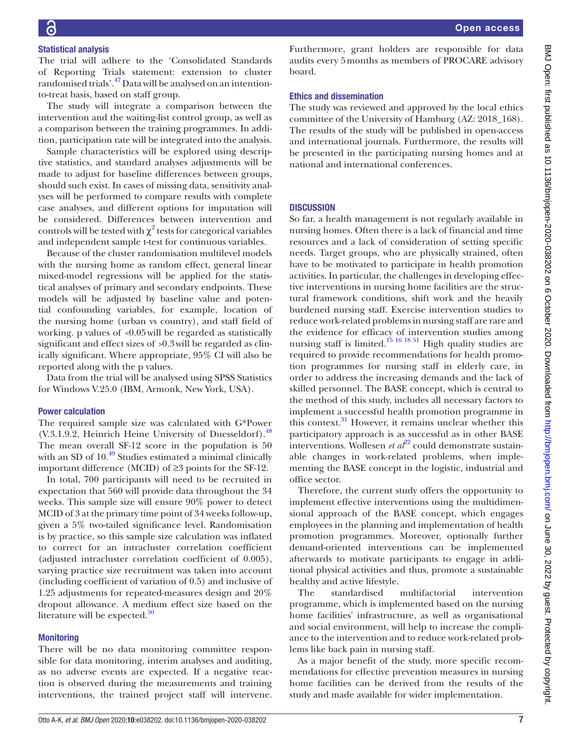# Statistical analysis

The trial will adhere to the 'Consolidated Standards of Reporting Trials statement: extension to cluster randomised trials'.<sup>47</sup> Data will be analysed on an intentionto-treat basis, based on staff group.

The study will integrate a comparison between the intervention and the waiting-list control group, as well as a comparison between the training programmes. In addition, participation rate will be integrated into the analysis.

Sample characteristics will be explored using descriptive statistics, and standard analyses adjustments will be made to adjust for baseline differences between groups, should such exist. In cases of missing data, sensitivity analyses will be performed to compare results with complete case analyses, and different options for imputation will be considered. Differences between intervention and controls will be tested with  $\chi^2$  tests for categorical variables and independent sample t-test for continuous variables.

Because of the cluster randomisation multilevel models with the nursing home as random effect, general linear mixed-model regressions will be applied for the statistical analyses of primary and secondary endpoints. These models will be adjusted by baseline value and potential confounding variables, for example, location of the nursing home (urban vs country), and staff field of working. p values of *<*0.05will be regarded as statistically significant and effect sizes of *>*0.3will be regarded as clinically significant. Where appropriate, 95% CI will also be reported along with the p values.

Data from the trial will be analysed using SPSS Statistics for Windows V.25.0 (IBM, Armonk, New York, USA).

#### Power calculation

The required sample size was calculated with G\*Power  $(V.3.1.9.2, Heinrich Heine University of Duesseldorf).<sup>48</sup>$ The mean overall SF-12 score in the population is 50 with an SD of  $10^{49}$  Studies estimated a minimal clinically important difference (MCID) of ≥3 points for the SF-12.

In total, 700 participants will need to be recruited in expectation that 560 will provide data throughout the 34 weeks. This sample size will ensure 90% power to detect MCID of 3 at the primary time point of 34 weeks follow-up, given a 5% two-tailed significance level. Randomisation is by practice, so this sample size calculation was inflated to correct for an intracluster correlation coefficient (adjusted intracluster correlation coefficient of 0.005), varying practice size recruitment was taken into account (including coefficient of variation of 0.5) and inclusive of 1.25 adjustments for repeated-measures design and 20% dropout allowance. A medium effect size based on the literature will be expected. $50$ 

#### **Monitoring**

There will be no data monitoring committee responsible for data monitoring, interim analyses and auditing, as no adverse events are expected. If a negative reaction is observed during the measurements and training interventions, the trained project staff will intervene.

Furthermore, grant holders are responsible for data audits every 5months as members of PROCARE advisory board.

#### Ethics and dissemination

The study was reviewed and approved by the local ethics committee of the University of Hamburg (AZ: 2018\_168). The results of the study will be published in open-access and international journals. Furthermore, the results will be presented in the participating nursing homes and at national and international conferences.

#### **DISCUSSION**

So far, a health management is not regularly available in nursing homes. Often there is a lack of financial and time resources and a lack of consideration of setting specific needs. Target groups, who are physically strained, often have to be motivated to participate in health promotion activities. In particular, the challenges in developing effective interventions in nursing home facilities are the structural framework conditions, shift work and the heavily burdened nursing staff. Exercise intervention studies to reduce work-related problems in nursing staff are rare and the evidence for efficacy of intervention studies among nursing staff is limited.<sup>15 16 18 51</sup> High quality studies are required to provide recommendations for health promotion programmes for nursing staff in elderly care, in order to address the increasing demands and the lack of skilled personnel. The BASE concept, which is central to the method of this study, includes all necessary factors to implement a successful health promotion programme in this context.<sup>31</sup> However, it remains unclear whether this participatory approach is as successful as in other BASE interventions. Wollesen *et al*<sup>[22](#page-8-3)</sup> could demonstrate sustainable changes in work-related problems, when implementing the BASE concept in the logistic, industrial and office sector.

Therefore, the current study offers the opportunity to implement effective interventions using the multidimensional approach of the BASE concept, which engages employees in the planning and implementation of health promotion programmes. Moreover, optionally further demand-oriented interventions can be implemented afterwards to motivate participants to engage in additional physical activities and thus, promote a sustainable healthy and active lifestyle.

The standardised multifactorial intervention programme, which is implemented based on the nursing home facilities' infrastructure, as well as organisational and social environment, will help to increase the compliance to the intervention and to reduce work-related problems like back pain in nursing staff.

As a major benefit of the study, more specific recommendations for effective prevention measures in nursing home facilities can be derived from the results of the study and made available for wider implementation.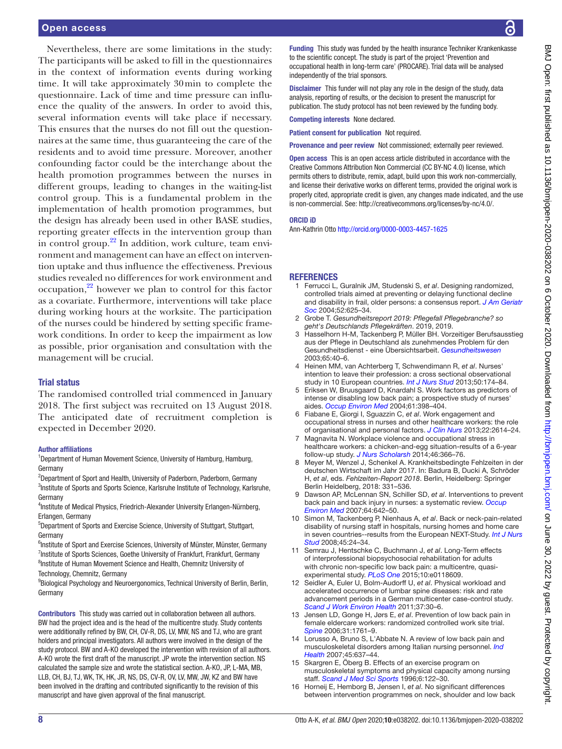Nevertheless, there are some limitations in the study: The participants will be asked to fill in the questionnaires in the context of information events during working time. It will take approximately 30min to complete the questionnaire. Lack of time and time pressure can influence the quality of the answers. In order to avoid this, several information events will take place if necessary. This ensures that the nurses do not fill out the questionnaires at the same time, thus guaranteeing the care of the residents and to avoid time pressure. Moreover, another confounding factor could be the interchange about the health promotion programmes between the nurses in different groups, leading to changes in the waiting-list control group. This is a fundamental problem in the implementation of health promotion programmes, but the design has already been used in other BASE studies, reporting greater effects in the intervention group than in control group. $^{22}$  In addition, work culture, team environment and management can have an effect on intervention uptake and thus influence the effectiveness. Previous studies revealed no differences for work environment and  $\alpha$  occupation,<sup>22</sup> however we plan to control for this factor as a covariate. Furthermore, interventions will take place during working hours at the worksite. The participation of the nurses could be hindered by setting specific framework conditions. In order to keep the impairment as low as possible, prior organisation and consultation with the management will be crucial.

## Trial status

The randomised controlled trial commenced in January 2018. The first subject was recruited on 13 August 2018. The anticipated date of recruitment completion is expected in December 2020.

#### Author affiliations

<sup>1</sup>Department of Human Movement Science, University of Hamburg, Hamburg, Germany

<sup>2</sup>Department of Sport and Health, University of Paderborn, Paderborn, Germany <sup>3</sup>Institute of Sports and Sports Science, Karlsruhe Institute of Technology, Karlsruhe, Germany

<sup>4</sup>Institute of Medical Physics, Friedrich-Alexander University Erlangen-Nürnberg, Erlangen, Germany

5 Department of Sports and Exercise Science, University of Stuttgart, Stuttgart, Germany

<sup>6</sup>Institute of Sport and Exercise Sciences, University of Münster, Münster, Germany <sup>7</sup>Institute of Sports Sciences, Goethe University of Frankfurt, Frankfurt, Germany <sup>8</sup>Institute of Human Movement Science and Health, Chemnitz University of Technology, Chemnitz, Germany

<sup>9</sup>Biological Psychology and Neuroergonomics, Technical University of Berlin, Berlin, Germany

Contributors This study was carried out in collaboration between all authors. BW had the project idea and is the head of the multicentre study. Study contents were additionally refined by BW, CH, CV-R, DS, LV, MW, NS and TJ, who are grant holders and principal investigators. All authors were involved in the design of the study protocol. BW and A-KO developed the intervention with revision of all authors. A-KO wrote the first draft of the manuscript. JP wrote the intervention section. NS calculated the sample size and wrote the statistical section. A-KO, JP, L-MA, MB, LLB, CH, BJ, TJ, WK, TK, HK, JR, NS, DS, CV-R, OV, LV, MW, JW, KZ and BW have been involved in the drafting and contributed significantly to the revision of this manuscript and have given approval of the final manuscript.

Funding This study was funded by the health insurance Techniker Krankenkasse to the scientific concept. The study is part of the project 'Prevention and occupational health in long-term care' (PROCARE). Trial data will be analysed independently of the trial sponsors.

Disclaimer This funder will not play any role in the design of the study, data analysis, reporting of results, or the decision to present the manuscript for publication. The study protocol has not been reviewed by the funding body.

Competing interests None declared.

Patient consent for publication Not required.

Provenance and peer review Not commissioned; externally peer reviewed.

Open access This is an open access article distributed in accordance with the Creative Commons Attribution Non Commercial (CC BY-NC 4.0) license, which permits others to distribute, remix, adapt, build upon this work non-commercially, and license their derivative works on different terms, provided the original work is properly cited, appropriate credit is given, any changes made indicated, and the use is non-commercial. See: [http://creativecommons.org/licenses/by-nc/4.0/.](http://creativecommons.org/licenses/by-nc/4.0/)

#### ORCID iD

Ann-Kathrin Otto<http://orcid.org/0000-0003-4457-1625>

## REFERENCES

- <span id="page-7-0"></span>1 Ferrucci L, Guralnik JM, Studenski S, *et al*. Designing randomized, controlled trials aimed at preventing or delaying functional decline and disability in frail, older persons: a consensus report. *[J Am Geriatr](http://dx.doi.org/10.1111/j.1532-5415.2004.52174.x)  [Soc](http://dx.doi.org/10.1111/j.1532-5415.2004.52174.x)* 2004;52:625–34.
- <span id="page-7-1"></span>2 Grobe T. *Gesundheitsreport 2019: Pflegefall Pflegebranche? so geht's Deutschlands Pflegekräften*. 2019, 2019.
- <span id="page-7-2"></span>Hasselhorn H-M, Tackenberg P, Müller BH. Vorzeitiger Berufsausstieg aus der Pflege in Deutschland als zunehmendes Problem für den Gesundheitsdienst - eine Übersichtsarbeit. *[Gesundheitswesen](http://dx.doi.org/10.1055/s-2003-36918)* 2003;65:40–6.
- 4 Heinen MM, van Achterberg T, Schwendimann R, *et al*. Nurses' intention to leave their profession: a cross sectional observational study in 10 European countries. *[Int J Nurs Stud](http://dx.doi.org/10.1016/j.ijnurstu.2012.09.019)* 2013;50:174–84.
- <span id="page-7-3"></span>5 Eriksen W, Bruusgaard D, Knardahl S. Work factors as predictors of intense or disabling low back pain; a prospective study of nurses' aides. *[Occup Environ Med](http://dx.doi.org/10.1136/oem.2003.008482)* 2004;61:398–404.
- 6 Fiabane E, Giorgi I, Sguazzin C, *et al*. Work engagement and occupational stress in nurses and other healthcare workers: the role of organisational and personal factors. *[J Clin Nurs](http://dx.doi.org/10.1111/jocn.12084)* 2013;22:2614–24.
- 7 Magnavita N. Workplace violence and occupational stress in healthcare workers: a chicken-and-egg situation-results of a 6-year follow-up study. *[J Nurs Scholarsh](http://dx.doi.org/10.1111/jnu.12088)* 2014;46:366–76.
- <span id="page-7-4"></span>8 Meyer M, Wenzel J, Schenkel A. Krankheitsbedingte Fehlzeiten in der deutschen Wirtschaft im Jahr 2017. In: Badura B, Ducki A, Schröder H, *et al*, eds. *Fehlzeiten-Report 2018*. Berlin, Heidelberg: Springer Berlin Heidelberg, 2018: 331–536.
- <span id="page-7-5"></span>9 Dawson AP, McLennan SN, Schiller SD, *et al*. Interventions to prevent back pain and back injury in nurses: a systematic review. *[Occup](http://dx.doi.org/10.1136/oem.2006.030643)  [Environ Med](http://dx.doi.org/10.1136/oem.2006.030643)* 2007;64:642–50.
- <span id="page-7-6"></span>10 Simon M, Tackenberg P, Nienhaus A, *et al*. Back or neck-pain-related disability of nursing staff in hospitals, nursing homes and home care in seven countries--results from the European NEXT-Study. *[Int J Nurs](http://dx.doi.org/10.1016/j.ijnurstu.2006.11.003)  [Stud](http://dx.doi.org/10.1016/j.ijnurstu.2006.11.003)* 2008;45:24–34.
- 11 Semrau J, Hentschke C, Buchmann J, *et al*. Long-Term effects of interprofessional biopsychosocial rehabilitation for adults with chronic non-specific low back pain: a multicentre, quasiexperimental study. *[PLoS One](http://dx.doi.org/10.1371/journal.pone.0118609)* 2015;10:e0118609.
- 12 Seidler A, Euler U, Bolm-Audorff U, *et al*. Physical workload and accelerated occurrence of lumbar spine diseases: risk and rate advancement periods in a German multicenter case-control study. *[Scand J Work Environ Health](http://dx.doi.org/10.5271/sjweh.3121)* 2011;37:30–6.
- <span id="page-7-8"></span>13 Jensen LD, Gonge H, Jørs E, *et al*. Prevention of low back pain in female eldercare workers: randomized controlled work site trial. *[Spine](http://dx.doi.org/10.1097/01.brs.0000227326.35149.38)* 2006;31:1761–9.
- <span id="page-7-7"></span>14 Lorusso A, Bruno S, L'Abbate N. A review of low back pain and musculoskeletal disorders among Italian nursing personnel. *[Ind](http://dx.doi.org/10.2486/indhealth.45.637)  [Health](http://dx.doi.org/10.2486/indhealth.45.637)* 2007;45:637–44.
- <span id="page-7-9"></span>15 Skargren E, Öberg B. Effects of an exercise program on musculoskeletal symptoms and physical capacity among nursing staff. *[Scand J Med Sci Sports](http://dx.doi.org/10.1111/j.1600-0838.1996.tb00079.x)* 1996;6:122–30.
- <span id="page-7-10"></span>16 Horneij E, Hemborg B, Jensen I, *et al*. No significant differences between intervention programmes on neck, shoulder and low back